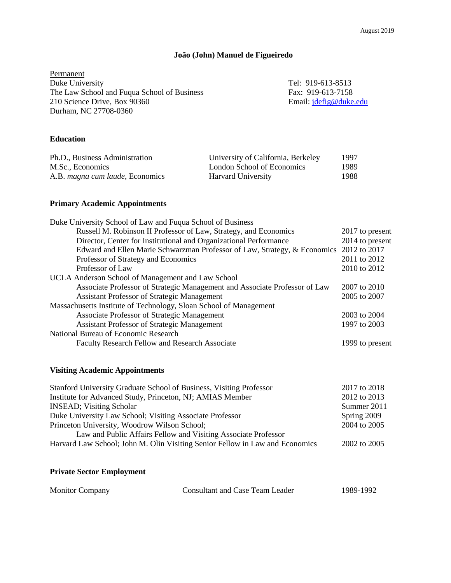## **João (John) Manuel de Figueiredo**

Permanent<br>Duke University The Law School and Fuqua School of Business Fax: 919-613-7158<br>210 Science Drive, Box 90360 Email: jdefig@duke.edu 210 Science Drive, Box 90360 Durham, NC 27708-0360

Tel: 919-613-8513

# **Education**

| Ph.D., Business Administration          | University of California, Berkeley | 1997 |
|-----------------------------------------|------------------------------------|------|
| M.Sc., Economics                        | London School of Economics         | 1989 |
| A.B. <i>magna cum laude</i> , Economics | <b>Harvard University</b>          | 1988 |

# **Primary Academic Appointments**

| Duke University School of Law and Fuqua School of Business                             |                 |
|----------------------------------------------------------------------------------------|-----------------|
| Russell M. Robinson II Professor of Law, Strategy, and Economics                       | 2017 to present |
| Director, Center for Institutional and Organizational Performance                      | 2014 to present |
| Edward and Ellen Marie Schwarzman Professor of Law, Strategy, & Economics 2012 to 2017 |                 |
| Professor of Strategy and Economics                                                    | 2011 to 2012    |
| Professor of Law                                                                       | 2010 to 2012    |
| UCLA Anderson School of Management and Law School                                      |                 |
| Associate Professor of Strategic Management and Associate Professor of Law             | 2007 to 2010    |
| <b>Assistant Professor of Strategic Management</b>                                     | 2005 to 2007    |
| Massachusetts Institute of Technology, Sloan School of Management                      |                 |
| Associate Professor of Strategic Management                                            | 2003 to 2004    |
| Assistant Professor of Strategic Management                                            | 1997 to 2003    |
| National Bureau of Economic Research                                                   |                 |
| Faculty Research Fellow and Research Associate                                         | 1999 to present |

# **Visiting Academic Appointments**

| Stanford University Graduate School of Business, Visiting Professor          | 2017 to 2018 |
|------------------------------------------------------------------------------|--------------|
| Institute for Advanced Study, Princeton, NJ; AMIAS Member                    | 2012 to 2013 |
| <b>INSEAD</b> ; Visiting Scholar                                             | Summer 2011  |
| Duke University Law School; Visiting Associate Professor                     | Spring 2009  |
| Princeton University, Woodrow Wilson School;                                 | 2004 to 2005 |
| Law and Public Affairs Fellow and Visiting Associate Professor               |              |
| Harvard Law School; John M. Olin Visiting Senior Fellow in Law and Economics | 2002 to 2005 |

**Private Sector Employment**

| <b>Monitor Company</b> | Consultant and Case Team Leader | 1989-1992 |
|------------------------|---------------------------------|-----------|
|------------------------|---------------------------------|-----------|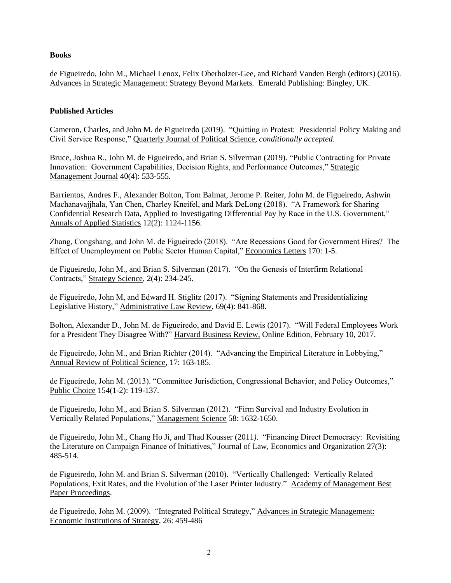# **Books**

de Figueiredo, John M., Michael Lenox, Felix Oberholzer-Gee, and Richard Vanden Bergh (editors) (2016). Advances in Strategic Management: Strategy Beyond Markets*.* Emerald Publishing: Bingley, UK.

# **Published Articles**

Cameron, Charles, and John M. de Figueiredo (2019). "Quitting in Protest: Presidential Policy Making and Civil Service Response," Quarterly Journal of Political Science*, conditionally accepted*.

Bruce, Joshua R., John M. de Figueiredo, and Brian S. Silverman (2019). "Public Contracting for Private Innovation: Government Capabilities, Decision Rights, and Performance Outcomes," Strategic Management Journal 40(4): 533-555*.*

Barrientos, Andres F., Alexander Bolton, Tom Balmat, Jerome P. Reiter, John M. de Figueiredo, Ashwin Machanavajjhala, Yan Chen, Charley Kneifel, and Mark DeLong (2018). "A Framework for Sharing Confidential Research Data, Applied to Investigating Differential Pay by Race in the U.S. Government," Annals of Applied Statistics 12(2): 1124-1156.

Zhang, Congshang, and John M. de Figueiredo (2018). "Are Recessions Good for Government Hires? The Effect of Unemployment on Public Sector Human Capital," Economics Letters 170: 1-5.

de Figueiredo, John M., and Brian S. Silverman (2017). "On the Genesis of Interfirm Relational Contracts," Strategy Science, 2(4): 234-245.

de Figueiredo, John M, and Edward H. Stiglitz (2017). "Signing Statements and Presidentializing Legislative History," Administrative Law Review, 69(4): 841-868.

Bolton, Alexander D., John M. de Figueiredo, and David E. Lewis (2017). "Will Federal Employees Work for a President They Disagree With?" Harvard Business Review, Online Edition, February 10, 2017.

de Figueiredo, John M., and Brian Richter (2014). "Advancing the Empirical Literature in Lobbying," Annual Review of Political Science, 17: 163-185.

de Figueiredo, John M. (2013). "Committee Jurisdiction, Congressional Behavior, and Policy Outcomes," Public Choice 154(1-2): 119-137.

de Figueiredo, John M., and Brian S. Silverman (2012). "Firm Survival and Industry Evolution in Vertically Related Populations," Management Science 58: 1632-1650.

de Figueiredo, John M., Chang Ho Ji, and Thad Kousser (2011*)*. "Financing Direct Democracy: Revisiting the Literature on Campaign Finance of Initiatives," Journal of Law, Economics and Organization 27(3): 485-514.

de Figueiredo, John M. and Brian S. Silverman (2010). "Vertically Challenged: Vertically Related Populations, Exit Rates, and the Evolution of the Laser Printer Industry." Academy of Management Best Paper Proceedings.

de Figueiredo, John M. (2009). "Integrated Political Strategy," Advances in Strategic Management: Economic Institutions of Strategy, 26: 459-486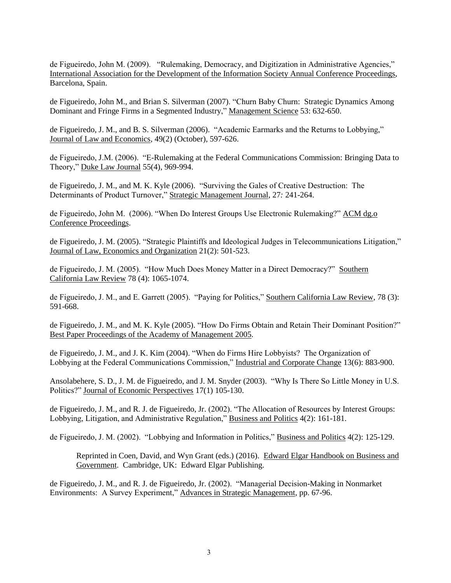de Figueiredo, John M. (2009). "Rulemaking, Democracy, and Digitization in Administrative Agencies," International Association for the Development of the Information Society Annual Conference Proceedings, Barcelona, Spain.

de Figueiredo, John M., and Brian S. Silverman (2007). "Churn Baby Churn: Strategic Dynamics Among Dominant and Fringe Firms in a Segmented Industry," Management Science 53: 632-650.

de Figueiredo, J. M., and B. S. Silverman (2006). "Academic Earmarks and the Returns to Lobbying," Journal of Law and Economics, 49(2) (October), 597-626.

de Figueiredo, J.M. (2006). "E-Rulemaking at the Federal Communications Commission: Bringing Data to Theory," Duke Law Journal 55(4), 969-994.

de Figueiredo, J. M., and M. K. Kyle (2006). "Surviving the Gales of Creative Destruction: The Determinants of Product Turnover," Strategic Management Journal, 27*:* 241-264.

de Figueiredo, John M. (2006). "When Do Interest Groups Use Electronic Rulemaking?" ACM dg.o Conference Proceedings.

de Figueiredo, J. M. (2005). "Strategic Plaintiffs and Ideological Judges in Telecommunications Litigation," Journal of Law, Economics and Organization 21(2): 501-523.

de Figueiredo, J. M. (2005). "How Much Does Money Matter in a Direct Democracy?" Southern California Law Review 78 (4): 1065-1074.

de Figueiredo, J. M., and E. Garrett (2005). "Paying for Politics," Southern California Law Review, 78 (3): 591-668.

de Figueiredo, J. M., and M. K. Kyle (2005). "How Do Firms Obtain and Retain Their Dominant Position?" Best Paper Proceedings of the Academy of Management 2005.

de Figueiredo, J. M., and J. K. Kim (2004). "When do Firms Hire Lobbyists? The Organization of Lobbying at the Federal Communications Commission," Industrial and Corporate Change 13(6): 883-900.

Ansolabehere, S. D., J. M. de Figueiredo, and J. M. Snyder (2003). "Why Is There So Little Money in U.S. Politics?" Journal of Economic Perspectives 17(1) 105-130.

de Figueiredo, J. M., and R. J. de Figueiredo, Jr. (2002). "The Allocation of Resources by Interest Groups: Lobbying, Litigation, and Administrative Regulation," Business and Politics 4(2): 161-181.

de Figueiredo, J. M. (2002). "Lobbying and Information in Politics," Business and Politics 4(2): 125-129.

Reprinted in Coen, David, and Wyn Grant (eds.) (2016). Edward Elgar Handbook on Business and Government. Cambridge, UK: Edward Elgar Publishing.

de Figueiredo, J. M., and R. J. de Figueiredo, Jr. (2002). "Managerial Decision-Making in Nonmarket Environments: A Survey Experiment," Advances in Strategic Management, pp. 67-96.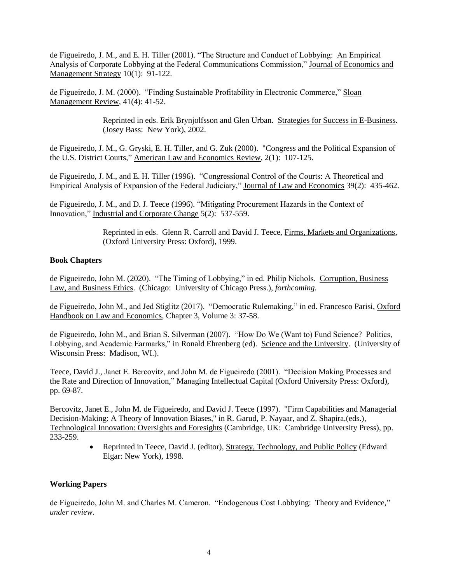de Figueiredo, J. M., and E. H. Tiller (2001). "The Structure and Conduct of Lobbying: An Empirical Analysis of Corporate Lobbying at the Federal Communications Commission," Journal of Economics and Management Strategy 10(1): 91-122.

de Figueiredo, J. M. (2000). "Finding Sustainable Profitability in Electronic Commerce," Sloan Management Review, 41(4): 41-52.

> Reprinted in eds. Erik Brynjolfsson and Glen Urban. Strategies for Success in E-Business. (Josey Bass: New York), 2002.

de Figueiredo, J. M., G. Gryski, E. H. Tiller, and G. Zuk (2000). "Congress and the Political Expansion of the U.S. District Courts," American Law and Economics Review, 2(1): 107-125.

de Figueiredo, J. M., and E. H. Tiller (1996). "Congressional Control of the Courts: A Theoretical and Empirical Analysis of Expansion of the Federal Judiciary," Journal of Law and Economics 39(2): 435-462.

de Figueiredo, J. M., and D. J. Teece (1996). "Mitigating Procurement Hazards in the Context of Innovation," Industrial and Corporate Change 5(2): 537-559.

> Reprinted in eds. Glenn R. Carroll and David J. Teece, Firms, Markets and Organizations, (Oxford University Press: Oxford), 1999.

#### **Book Chapters**

de Figueiredo, John M. (2020). "The Timing of Lobbying," in ed. Philip Nichols. Corruption, Business Law, and Business Ethics. (Chicago: University of Chicago Press.), *forthcoming.*

de Figueiredo, John M., and Jed Stiglitz (2017). "Democratic Rulemaking," in ed. Francesco Parisi, Oxford Handbook on Law and Economics, Chapter 3, Volume 3: 37-58.

de Figueiredo, John M., and Brian S. Silverman (2007). "How Do We (Want to) Fund Science? Politics, Lobbying, and Academic Earmarks," in Ronald Ehrenberg (ed). Science and the University. (University of Wisconsin Press: Madison, WI.).

Teece, David J., Janet E. Bercovitz, and John M. de Figueiredo (2001). "Decision Making Processes and the Rate and Direction of Innovation," Managing Intellectual Capital (Oxford University Press: Oxford), pp. 69-87.

Bercovitz, Janet E., John M. de Figueiredo, and David J. Teece (1997). "Firm Capabilities and Managerial Decision-Making: A Theory of Innovation Biases," in R. Garud, P. Nayaar, and Z. Shapira,(eds.), Technological Innovation: Oversights and Foresights (Cambridge, UK: Cambridge University Press), pp. 233-259.

> • Reprinted in Teece, David J. (editor), Strategy, Technology, and Public Policy (Edward Elgar: New York), 1998.

### **Working Papers**

de Figueiredo, John M. and Charles M. Cameron. "Endogenous Cost Lobbying: Theory and Evidence," *under review*.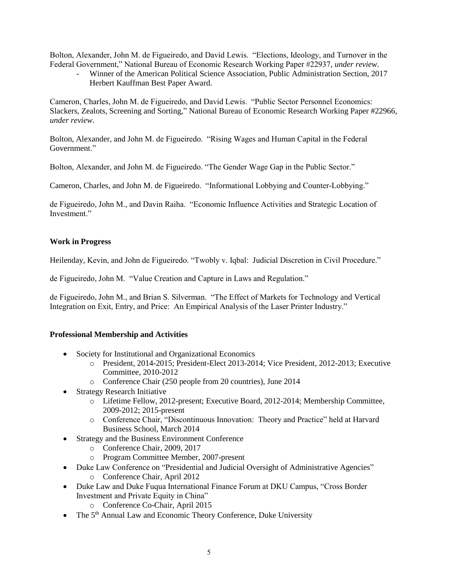Bolton, Alexander, John M. de Figueiredo, and David Lewis. "Elections, Ideology, and Turnover in the Federal Government," National Bureau of Economic Research Working Paper #22937, *under review*.

- Winner of the American Political Science Association, Public Administration Section, 2017 Herbert Kauffman Best Paper Award.

Cameron, Charles, John M. de Figueiredo, and David Lewis. "Public Sector Personnel Economics: Slackers, Zealots, Screening and Sorting," National Bureau of Economic Research Working Paper #22966, *under review*.

Bolton, Alexander, and John M. de Figueiredo. "Rising Wages and Human Capital in the Federal Government<sup>"</sup>

Bolton, Alexander, and John M. de Figueiredo. "The Gender Wage Gap in the Public Sector."

Cameron, Charles, and John M. de Figueiredo. "Informational Lobbying and Counter-Lobbying."

de Figueiredo, John M., and Davin Raiha. "Economic Influence Activities and Strategic Location of Investment."

### **Work in Progress**

Heilenday, Kevin, and John de Figueiredo. "Twobly v. Iqbal: Judicial Discretion in Civil Procedure."

de Figueiredo, John M. "Value Creation and Capture in Laws and Regulation."

de Figueiredo, John M., and Brian S. Silverman. "The Effect of Markets for Technology and Vertical Integration on Exit, Entry, and Price: An Empirical Analysis of the Laser Printer Industry."

#### **Professional Membership and Activities**

- Society for Institutional and Organizational Economics
	- o President, 2014-2015; President-Elect 2013-2014; Vice President, 2012-2013; Executive Committee, 2010-2012
	- o Conference Chair (250 people from 20 countries), June 2014
- Strategy Research Initiative
	- o Lifetime Fellow, 2012-present; Executive Board, 2012-2014; Membership Committee, 2009-2012; 2015-present
	- o Conference Chair, "Discontinuous Innovation: Theory and Practice" held at Harvard Business School, March 2014
- Strategy and the Business Environment Conference
	- o Conference Chair, 2009, 2017
	- o Program Committee Member, 2007-present
- Duke Law Conference on "Presidential and Judicial Oversight of Administrative Agencies"
	- o Conference Chair, April 2012
- Duke Law and Duke Fuqua International Finance Forum at DKU Campus, "Cross Border Investment and Private Equity in China"
	- o Conference Co-Chair, April 2015
- The 5<sup>th</sup> Annual Law and Economic Theory Conference, Duke University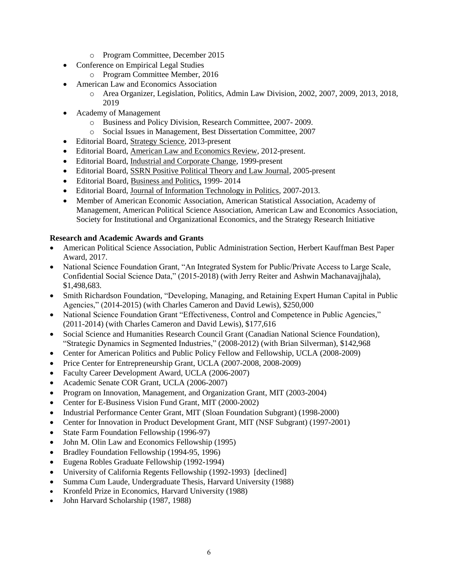- o Program Committee, December 2015
- Conference on Empirical Legal Studies
	- o Program Committee Member, 2016
- American Law and Economics Association
	- o Area Organizer, Legislation, Politics, Admin Law Division, 2002, 2007, 2009, 2013, 2018, 2019
- Academy of Management
	- o Business and Policy Division, Research Committee, 2007- 2009.
	- o Social Issues in Management, Best Dissertation Committee, 2007
- Editorial Board, Strategy Science, 2013-present
- Editorial Board, American Law and Economics Review, 2012-present.
- Editorial Board, Industrial and Corporate Change, 1999-present
- Editorial Board, SSRN Positive Political Theory and Law Journal, 2005-present
- Editorial Board, Business and Politics, 1999- 2014
- Editorial Board, Journal of Information Technology in Politics, 2007-2013.
- Member of American Economic Association, American Statistical Association, Academy of Management, American Political Science Association, American Law and Economics Association, Society for Institutional and Organizational Economics, and the Strategy Research Initiative

# **Research and Academic Awards and Grants**

- American Political Science Association, Public Administration Section, Herbert Kauffman Best Paper Award, 2017.
- National Science Foundation Grant, "An Integrated System for Public/Private Access to Large Scale, Confidential Social Science Data," (2015-2018) (with Jerry Reiter and Ashwin Machanavajjhala), \$1,498,683.
- Smith Richardson Foundation, "Developing, Managing, and Retaining Expert Human Capital in Public Agencies," (2014-2015) (with Charles Cameron and David Lewis), \$250,000
- National Science Foundation Grant "Effectiveness, Control and Competence in Public Agencies," (2011-2014) (with Charles Cameron and David Lewis), \$177,616
- Social Science and Humanities Research Council Grant (Canadian National Science Foundation), "Strategic Dynamics in Segmented Industries," (2008-2012) (with Brian Silverman), \$142,968
- Center for American Politics and Public Policy Fellow and Fellowship, UCLA (2008-2009)
- Price Center for Entrepreneurship Grant, UCLA (2007-2008, 2008-2009)
- Faculty Career Development Award, UCLA (2006-2007)
- Academic Senate COR Grant, UCLA (2006-2007)
- Program on Innovation, Management, and Organization Grant, MIT (2003-2004)
- Center for E-Business Vision Fund Grant, MIT (2000-2002)
- Industrial Performance Center Grant, MIT (Sloan Foundation Subgrant) (1998-2000)
- Center for Innovation in Product Development Grant, MIT (NSF Subgrant) (1997-2001)
- State Farm Foundation Fellowship (1996-97)
- John M. Olin Law and Economics Fellowship (1995)
- Bradley Foundation Fellowship (1994-95, 1996)
- Eugena Robles Graduate Fellowship (1992-1994)
- University of California Regents Fellowship (1992-1993) [declined]
- Summa Cum Laude, Undergraduate Thesis, Harvard University (1988)
- Kronfeld Prize in Economics, Harvard University (1988)
- John Harvard Scholarship (1987, 1988)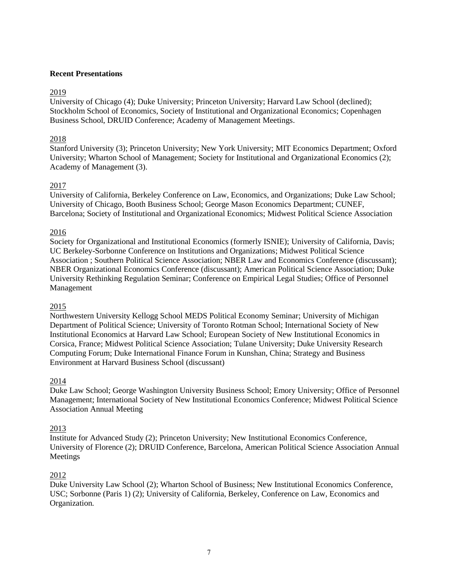#### **Recent Presentations**

### 2019

University of Chicago (4); Duke University; Princeton University; Harvard Law School (declined); Stockholm School of Economics, Society of Institutional and Organizational Economics; Copenhagen Business School, DRUID Conference; Academy of Management Meetings.

#### 2018

Stanford University (3); Princeton University; New York University; MIT Economics Department; Oxford University; Wharton School of Management; Society for Institutional and Organizational Economics (2); Academy of Management (3).

#### 2017

University of California, Berkeley Conference on Law, Economics, and Organizations; Duke Law School; University of Chicago, Booth Business School; George Mason Economics Department; CUNEF, Barcelona; Society of Institutional and Organizational Economics; Midwest Political Science Association

### 2016

Society for Organizational and Institutional Economics (formerly ISNIE); University of California, Davis; UC Berkeley-Sorbonne Conference on Institutions and Organizations; Midwest Political Science Association ; Southern Political Science Association; NBER Law and Economics Conference (discussant); NBER Organizational Economics Conference (discussant); American Political Science Association; Duke University Rethinking Regulation Seminar; Conference on Empirical Legal Studies; Office of Personnel Management

#### 2015

Northwestern University Kellogg School MEDS Political Economy Seminar; University of Michigan Department of Political Science; University of Toronto Rotman School; International Society of New Institutional Economics at Harvard Law School; European Society of New Institutional Economics in Corsica, France; Midwest Political Science Association; Tulane University; Duke University Research Computing Forum; Duke International Finance Forum in Kunshan, China; Strategy and Business Environment at Harvard Business School (discussant)

### 2014

Duke Law School; George Washington University Business School; Emory University; Office of Personnel Management; International Society of New Institutional Economics Conference; Midwest Political Science Association Annual Meeting

#### 2013

Institute for Advanced Study (2); Princeton University; New Institutional Economics Conference, University of Florence (2); DRUID Conference, Barcelona, American Political Science Association Annual Meetings

### 2012

Duke University Law School (2); Wharton School of Business; New Institutional Economics Conference, USC; Sorbonne (Paris 1) (2); University of California, Berkeley, Conference on Law, Economics and Organization.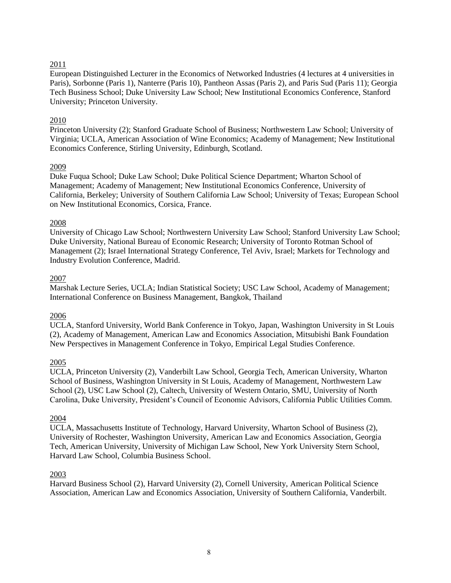# 2011

European Distinguished Lecturer in the Economics of Networked Industries (4 lectures at 4 universities in Paris), Sorbonne (Paris 1), Nanterre (Paris 10), Pantheon Assas (Paris 2), and Paris Sud (Paris 11); Georgia Tech Business School; Duke University Law School; New Institutional Economics Conference, Stanford University; Princeton University.

## 2010

Princeton University (2); Stanford Graduate School of Business; Northwestern Law School; University of Virginia; UCLA, American Association of Wine Economics; Academy of Management; New Institutional Economics Conference, Stirling University, Edinburgh, Scotland.

### 2009

Duke Fuqua School; Duke Law School; Duke Political Science Department; Wharton School of Management; Academy of Management; New Institutional Economics Conference, University of California, Berkeley; University of Southern California Law School; University of Texas; European School on New Institutional Economics, Corsica, France.

### 2008

University of Chicago Law School; Northwestern University Law School; Stanford University Law School; Duke University, National Bureau of Economic Research; University of Toronto Rotman School of Management (2); Israel International Strategy Conference, Tel Aviv, Israel; Markets for Technology and Industry Evolution Conference, Madrid.

### 2007

Marshak Lecture Series, UCLA; Indian Statistical Society; USC Law School, Academy of Management; International Conference on Business Management, Bangkok, Thailand

### 2006

UCLA, Stanford University, World Bank Conference in Tokyo, Japan, Washington University in St Louis (2), Academy of Management, American Law and Economics Association, Mitsubishi Bank Foundation New Perspectives in Management Conference in Tokyo, Empirical Legal Studies Conference.

### 2005

UCLA, Princeton University (2), Vanderbilt Law School, Georgia Tech, American University, Wharton School of Business, Washington University in St Louis, Academy of Management, Northwestern Law School (2), USC Law School (2), Caltech, University of Western Ontario, SMU, University of North Carolina, Duke University, President's Council of Economic Advisors, California Public Utilities Comm.

### 2004

UCLA, Massachusetts Institute of Technology, Harvard University, Wharton School of Business (2), University of Rochester, Washington University, American Law and Economics Association, Georgia Tech, American University, University of Michigan Law School, New York University Stern School, Harvard Law School, Columbia Business School.

### 2003

Harvard Business School (2), Harvard University (2), Cornell University, American Political Science Association, American Law and Economics Association, University of Southern California, Vanderbilt.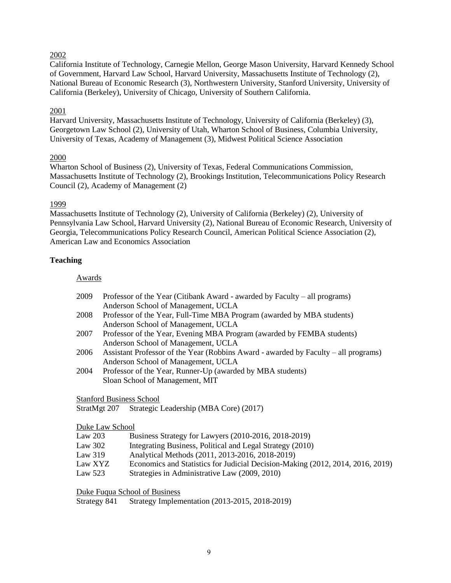## 2002

California Institute of Technology, Carnegie Mellon, George Mason University, Harvard Kennedy School of Government, Harvard Law School, Harvard University, Massachusetts Institute of Technology (2), National Bureau of Economic Research (3), Northwestern University, Stanford University, University of California (Berkeley), University of Chicago, University of Southern California.

### 2001

Harvard University, Massachusetts Institute of Technology, University of California (Berkeley) (3), Georgetown Law School (2), University of Utah, Wharton School of Business, Columbia University, University of Texas, Academy of Management (3), Midwest Political Science Association

### 2000

Wharton School of Business (2), University of Texas, Federal Communications Commission, Massachusetts Institute of Technology (2), Brookings Institution, Telecommunications Policy Research Council (2), Academy of Management (2)

#### 1999

Massachusetts Institute of Technology (2), University of California (Berkeley) (2), University of Pennsylvania Law School, Harvard University (2), National Bureau of Economic Research, University of Georgia, Telecommunications Policy Research Council, American Political Science Association (2), American Law and Economics Association

### **Teaching**

#### Awards

| 2009 | Professor of the Year (Citibank Award - awarded by Faculty – all programs) |
|------|----------------------------------------------------------------------------|
|      | Anderson School of Management, UCLA                                        |

- 2008 Professor of the Year, Full-Time MBA Program (awarded by MBA students) Anderson School of Management, UCLA
- 2007 Professor of the Year, Evening MBA Program (awarded by FEMBA students) Anderson School of Management, UCLA
- 2006 Assistant Professor of the Year (Robbins Award awarded by Faculty all programs) Anderson School of Management, UCLA
- 2004 Professor of the Year, Runner-Up (awarded by MBA students) Sloan School of Management, MIT

Stanford Business School

StratMgt 207 Strategic Leadership (MBA Core) (2017)

#### Duke Law School

| Law $203$ | Business Strategy for Lawyers (2010-2016, 2018-2019) |
|-----------|------------------------------------------------------|
|-----------|------------------------------------------------------|

- Law 302 Integrating Business, Political and Legal Strategy (2010)
- Law 319 Analytical Methods (2011, 2013-2016, 2018-2019)
- Law XYZ Economics and Statistics for Judicial Decision-Making (2012, 2014, 2016, 2019)
- Law 523 Strategies in Administrative Law (2009, 2010)

Duke Fuqua School of Business

Strategy 841 Strategy Implementation (2013-2015, 2018-2019)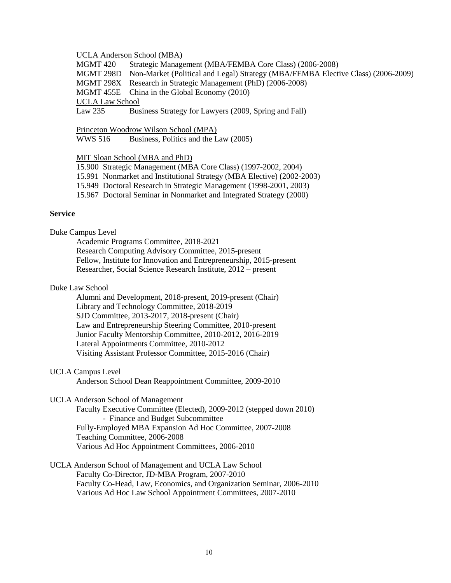UCLA Anderson School (MBA)

MGMT 420 Strategic Management (MBA/FEMBA Core Class) (2006-2008)

MGMT 298D Non-Market (Political and Legal) Strategy (MBA/FEMBA Elective Class) (2006-2009)

MGMT 298X Research in Strategic Management (PhD) (2006-2008)

MGMT 455E China in the Global Economy (2010)

UCLA Law School

Law 235 Business Strategy for Lawyers (2009, Spring and Fall)

Princeton Woodrow Wilson School (MPA)

WWS 516 Business, Politics and the Law (2005)

MIT Sloan School (MBA and PhD)

15.900 Strategic Management (MBA Core Class) (1997-2002, 2004)

15.991 Nonmarket and Institutional Strategy (MBA Elective) (2002-2003)

15.949 Doctoral Research in Strategic Management (1998-2001, 2003)

15.967 Doctoral Seminar in Nonmarket and Integrated Strategy (2000)

#### **Service**

Duke Campus Level

Academic Programs Committee, 2018-2021 Research Computing Advisory Committee, 2015-present Fellow, Institute for Innovation and Entrepreneurship, 2015-present Researcher, Social Science Research Institute, 2012 – present

### Duke Law School

Alumni and Development, 2018-present, 2019-present (Chair) Library and Technology Committee, 2018-2019 SJD Committee, 2013-2017, 2018-present (Chair) Law and Entrepreneurship Steering Committee, 2010-present Junior Faculty Mentorship Committee, 2010-2012, 2016-2019 Lateral Appointments Committee, 2010-2012 Visiting Assistant Professor Committee, 2015-2016 (Chair)

#### UCLA Campus Level

Anderson School Dean Reappointment Committee, 2009-2010

#### UCLA Anderson School of Management

Faculty Executive Committee (Elected), 2009-2012 (stepped down 2010) - Finance and Budget Subcommittee Fully-Employed MBA Expansion Ad Hoc Committee, 2007-2008 Teaching Committee, 2006-2008 Various Ad Hoc Appointment Committees, 2006-2010

# UCLA Anderson School of Management and UCLA Law School

Faculty Co-Director, JD-MBA Program, 2007-2010

Faculty Co-Head, Law, Economics, and Organization Seminar, 2006-2010 Various Ad Hoc Law School Appointment Committees, 2007-2010